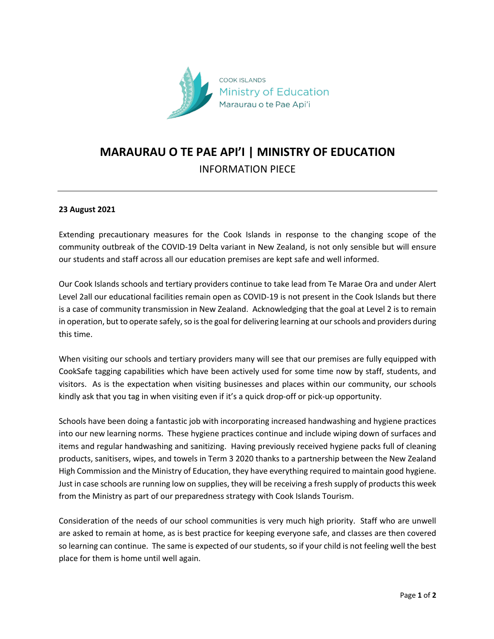

## **MARAURAU O TE PAE API'I | MINISTRY OF EDUCATION** INFORMATION PIECE

## **23 August 2021**

Extending precautionary measures for the Cook Islands in response to the changing scope of the community outbreak of the COVID-19 Delta variant in New Zealand, is not only sensible but will ensure our students and staff across all our education premises are kept safe and well informed.

Our Cook Islands schools and tertiary providers continue to take lead from Te Marae Ora and under Alert Level 2all our educational facilities remain open as COVID-19 is not present in the Cook Islands but there is a case of community transmission in New Zealand. Acknowledging that the goal at Level 2 is to remain in operation, but to operate safely, so is the goal for delivering learning at our schools and providers during this time.

When visiting our schools and tertiary providers many will see that our premises are fully equipped with CookSafe tagging capabilities which have been actively used for some time now by staff, students, and visitors. As is the expectation when visiting businesses and places within our community, our schools kindly ask that you tag in when visiting even if it's a quick drop-off or pick-up opportunity.

Schools have been doing a fantastic job with incorporating increased handwashing and hygiene practices into our new learning norms. These hygiene practices continue and include wiping down of surfaces and items and regular handwashing and sanitizing. Having previously received hygiene packs full of cleaning products, sanitisers, wipes, and towels in Term 3 2020 thanks to a partnership between the New Zealand High Commission and the Ministry of Education, they have everything required to maintain good hygiene. Just in case schools are running low on supplies, they will be receiving a fresh supply of products this week from the Ministry as part of our preparedness strategy with Cook Islands Tourism.

Consideration of the needs of our school communities is very much high priority. Staff who are unwell are asked to remain at home, as is best practice for keeping everyone safe, and classes are then covered so learning can continue. The same is expected of our students, so if your child is not feeling well the best place for them is home until well again.